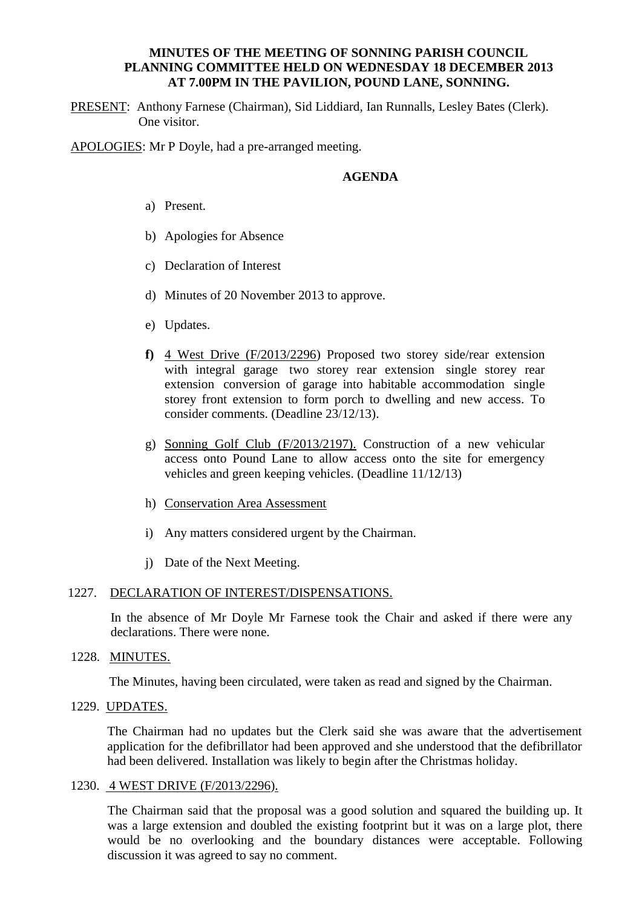## **MINUTES OF THE MEETING OF SONNING PARISH COUNCIL PLANNING COMMITTEE HELD ON WEDNESDAY 18 DECEMBER 2013 AT 7.00PM IN THE PAVILION, POUND LANE, SONNING.**

PRESENT: Anthony Farnese (Chairman), Sid Liddiard, Ian Runnalls, Lesley Bates (Clerk). One visitor.

APOLOGIES: Mr P Doyle, had a pre-arranged meeting.

# **AGENDA**

- a) Present.
- b) Apologies for Absence
- c) Declaration of Interest
- d) Minutes of 20 November 2013 to approve.
- e) Updates.
- **f)** 4 West Drive (F/2013/2296) Proposed two storey side/rear extension with integral garage two storey rear extension single storey rear extension conversion of garage into habitable accommodation single storey front extension to form porch to dwelling and new access. To consider comments. (Deadline 23/12/13).
- g) Sonning Golf Club (F/2013/2197). Construction of a new vehicular access onto Pound Lane to allow access onto the site for emergency vehicles and green keeping vehicles. (Deadline 11/12/13)
- h) Conservation Area Assessment
- i) Any matters considered urgent by the Chairman.
- j) Date of the Next Meeting.

#### 1227. DECLARATION OF INTEREST/DISPENSATIONS.

In the absence of Mr Doyle Mr Farnese took the Chair and asked if there were any declarations. There were none.

# 1228. MINUTES.

The Minutes, having been circulated, were taken as read and signed by the Chairman.

## 1229. UPDATES.

The Chairman had no updates but the Clerk said she was aware that the advertisement application for the defibrillator had been approved and she understood that the defibrillator had been delivered. Installation was likely to begin after the Christmas holiday.

#### 1230. 4 WEST DRIVE (F/2013/2296).

The Chairman said that the proposal was a good solution and squared the building up. It was a large extension and doubled the existing footprint but it was on a large plot, there would be no overlooking and the boundary distances were acceptable. Following discussion it was agreed to say no comment.